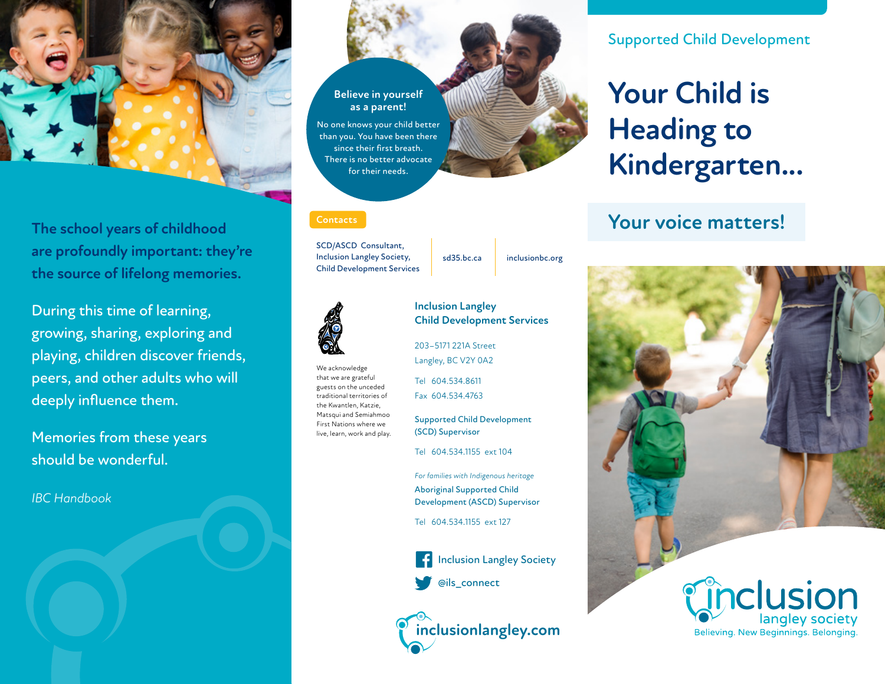

**The school years of childhood are profoundly important: they're the source of lifelong memories.**

During this time of learning, growing, sharing, exploring and playing, children discover friends, peers, and other adults who will deeply influence them.

Memories from these years should be wonderful.

*IBC Handbook*

# **Believe in yourself as a parent!** No one knows your child better than you. You have been there since their first breath. There is no better advocate for their needs.

#### **Contacts**

SCD/ASCD Consultant, Inclusion Langley Society, Child Development Services

sd35.bc.ca inclusionbc.org



We acknowledge that we are grateful guests on the unceded traditional territories of the Kwantlen, Katzie, Matsqui and Semiahmoo First Nations where we live, learn, work and play.

#### **Inclusion Langley Child Development Services**

203–5171 221A Street Langley, BC V2Y 0A2

Tel 604.534.8611 Fax 604.534.4763

Supported Child Development (SCD) Supervisor

Tel 604.534.1155 ext 104

*For families with Indigenous heritage* Aboriginal Supported Child Development (ASCD) Supervisor

Tel 604.534.1155 ext 127





Supported Child Development

# **Your Child is Heading to Kindergarten...**

# **Your voice matters!**